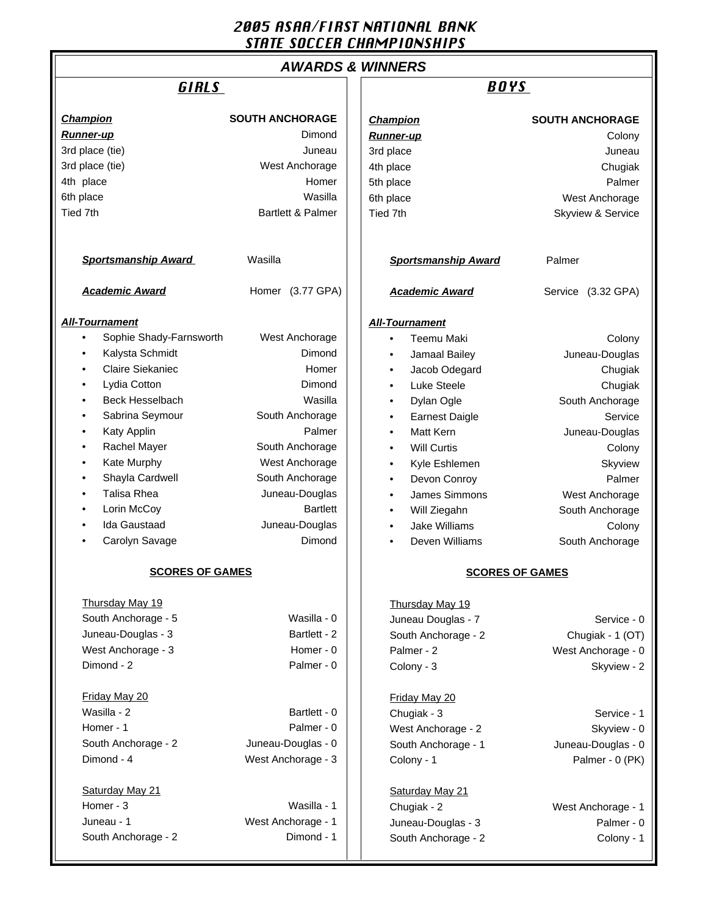# 2005 ASAA/FIRST NATIONAL BANK STATE SOCCER CHAMPIONSHIPS

# **AWARDS & WINNERS**

**All-Tournament**

#### **Champion SOUTH ANCHORAGE Runner-up** Dimond 3rd place (tie) Juneau 3rd place (tie) West Anchorage 4th place **Homer** Homer 6th place Wasilla Tied 7th **Bartlett & Palmer Sportsmanship Award Masilla Academic Award** Homer (3.77 GPA) • Sophie Shady-Farnsworth West Anchorage • Kalysta Schmidt Dimond Claire Siekaniec **Homer** Homer • Lydia Cotton Dimond **Beck Hesselbach** Wasilla Sabrina Seymour **South Anchorage** • Katy Applin Palmer **Rachel Mayer Communist Couth Anchorage Kate Murphy West Anchorage** Shayla Cardwell **South Anchorage** • Talisa Rhea Juneau-Douglas **Lorin McCoy Bartlett** • Ida Gaustaad Juneau-Douglas Carolyn Savage **Dimond SCORES OF GAMES** Thursday May 19 South Anchorage - 5 Wasilla - 0 Juneau-Douglas - 3 Bartlett - 2 West Anchorage - 3 Homer - 0 Dimond - 2 Palmer - 0 Friday May 20 Wasilla - 2 Bartlett - 0 Homer - 1 Palmer - 0 South Anchorage - 2 Juneau-Douglas - 0 Dimond - 4 West Anchorage - 3 Saturday May 21 Homer - 3 Wasilla - 1 Juneau - 1 West Anchorage - 1 South Anchorage - 2 Dimond - 1 **Champion SOUTH ANCHORAGE Runner-up** Colony 3rd place Juneau Annual State Juneau Annual State Juneau Annual State Juneau Annual State Juneau Annual State I 4th place Chugiak 5th place Palmer 6th place West Anchorage Tied 7th Skyview & Service **Sportsmanship Award** Palmer **Academic Award** Service (3.32 GPA) **All-Tournament** Teemu Maki Colony • Jamaal Bailey Juneau-Douglas Jacob Odegard **Chugiak** Luke Steele **Chugiak Dylan Ogle South Anchorage Earnest Daigle Service** Matt Kern **Matt Kern** Juneau-Douglas • Will Curtis **Colony** Kyle Eshlemen Skyview **Devon Conroy Contract Contract Contract Contract Contract Contract Contract Contract Contract Contract Contract Contract Contract Contract Contract Contract Contract Contract Contract Contract Contract Contract Contract C** James Simmons West Anchorage Will Ziegahn South Anchorage Jake Williams **Colony Deven Williams South Anchorage SCORES OF GAMES** Thursday May 19 Juneau Douglas - 7 Service - 0 South Anchorage - 2 Chugiak - 1 (OT) Palmer - 2 West Anchorage - 0 Colony - 3 Skyview - 2 Friday May 20 Chugiak - 3 Service - 1 West Anchorage - 2 Skyview - 0 South Anchorage - 1 Juneau-Douglas - 0 Colony - 1 Palmer - 0 (PK) Saturday May 21 Chugiak - 2 West Anchorage - 1 Juneau-Douglas - 3 Palmer - 0 South Anchorage - 2 Colony - 1 GIRLS **BOYS**